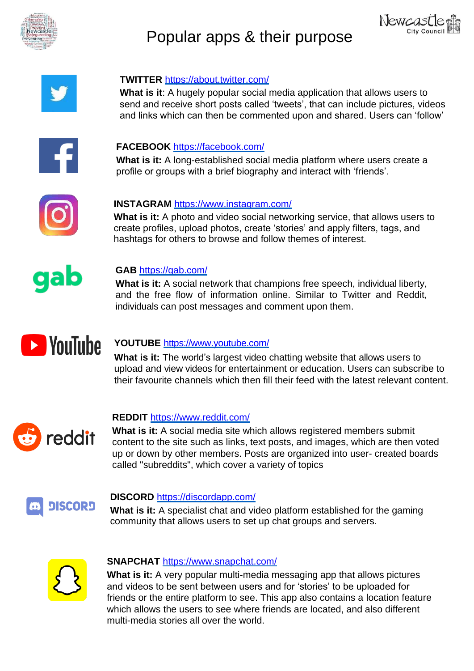

# Popular apps & their purpose





# **TWITTER** <https://about.twitter.com/>

**What is it**: A hugely popular social media application that allows users to send and receive short posts called 'tweets', that can include pictures, videos and links which can then be commented upon and shared. Users can 'follow'



# **FACEBOOK** <https://facebook.com/>

**What is it:** A long-established social media platform where users create a profile or groups with a brief biography and interact with 'friends'.



## **INSTAGRAM** <https://www.instagram.com/>

**What is it:** A photo and video social networking service, that allows users to create profiles, upload photos, create 'stories' and apply filters, tags, and hashtags for others to browse and follow themes of interest.



## **GAB** <https://gab.com/>

**What is it:** A social network that champions free speech, individual liberty, and the free flow of information online. Similar to Twitter and Reddit, individuals can post messages and comment upon them.



# **YOUTUBE** <https://www.youtube.com/>

**What is it:** The world's largest video chatting website that allows users to upload and view videos for entertainment or education. Users can subscribe to their favourite channels which then fill their feed with the latest relevant content.



# **REDDIT** <https://www.reddit.com/>

**What is it:** A social media site which allows registered members submit content to the site such as links, text posts, and images, which are then voted up or down by other members. Posts are organized into user- created boards called "subreddits", which cover a variety of topics



#### **DISCORD** <https://discordapp.com/>

**What is it:** A specialist chat and video platform established for the gaming community that allows users to set up chat groups and servers.



#### **SNAPCHAT** <https://www.snapchat.com/>

**What is it:** A very popular multi-media messaging app that allows pictures and videos to be sent between users and for 'stories' to be uploaded for friends or the entire platform to see. This app also contains a location feature which allows the users to see where friends are located, and also different multi-media stories all over the world.